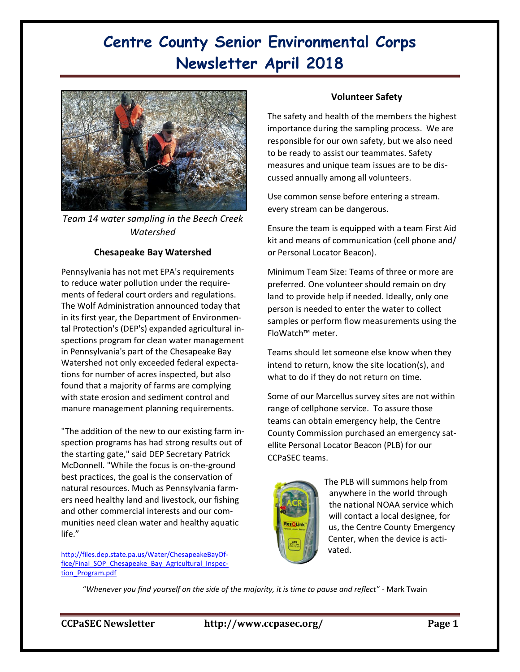# **Centre County Senior Environmental Corps Newsletter April 2018**



*Team 14 water sampling in the Beech Creek Watershed*

### **Chesapeake Bay Watershed**

Pennsylvania has not met EPA's requirements to reduce water pollution under the requirements of federal court orders and regulations. The Wolf Administration announced today that in its first year, the Department of Environmental Protection's (DEP's) expanded agricultural inspections program for clean water management in Pennsylvania's part of the Chesapeake Bay Watershed not only exceeded federal expectations for number of acres inspected, but also found that a majority of farms are complying with state erosion and sediment control and manure management planning requirements.

"The addition of the new to our existing farm inspection programs has had strong results out of the starting gate," said DEP Secretary Patrick McDonnell. "While the focus is on-the-ground best practices, the goal is the conservation of natural resources. Much as Pennsylvania farmers need healthy land and livestock, our fishing and other commercial interests and our communities need clean water and healthy aquatic life."

[http://files.dep.state.pa.us/Water/ChesapeakeBayOf](http://files.dep.state.pa.us/Water/ChesapeakeBayOffice/Final_SOP_Chesapeake_Bay_Agricultural_Inspection_Program.pdf)[fice/Final\\_SOP\\_Chesapeake\\_Bay\\_Agricultural\\_Inspec](http://files.dep.state.pa.us/Water/ChesapeakeBayOffice/Final_SOP_Chesapeake_Bay_Agricultural_Inspection_Program.pdf)[tion\\_Program.pdf](http://files.dep.state.pa.us/Water/ChesapeakeBayOffice/Final_SOP_Chesapeake_Bay_Agricultural_Inspection_Program.pdf)

#### **Volunteer Safety**

The safety and health of the members the highest importance during the sampling process. We are responsible for our own safety, but we also need to be ready to assist our teammates. Safety measures and unique team issues are to be discussed annually among all volunteers.

Use common sense before entering a stream. every stream can be dangerous.

Ensure the team is equipped with a team First Aid kit and means of communication (cell phone and/ or Personal Locator Beacon).

Minimum Team Size: Teams of three or more are preferred. One volunteer should remain on dry land to provide help if needed. Ideally, only one person is needed to enter the water to collect samples or perform flow measurements using the FloWatch™ meter.

Teams should let someone else know when they intend to return, know the site location(s), and what to do if they do not return on time.

Some of our Marcellus survey sites are not within range of cellphone service. To assure those teams can obtain emergency help, the Centre County Commission purchased an emergency satellite Personal Locator Beacon (PLB) for our CCPaSEC teams.



The PLB will summons help from anywhere in the world through the national NOAA service which will contact a local designee, for us, the Centre County Emergency Center, when the device is activated.

"*Whenever you find yourself on the side of the majority, it is time to pause and reflect*" - Mark Twain